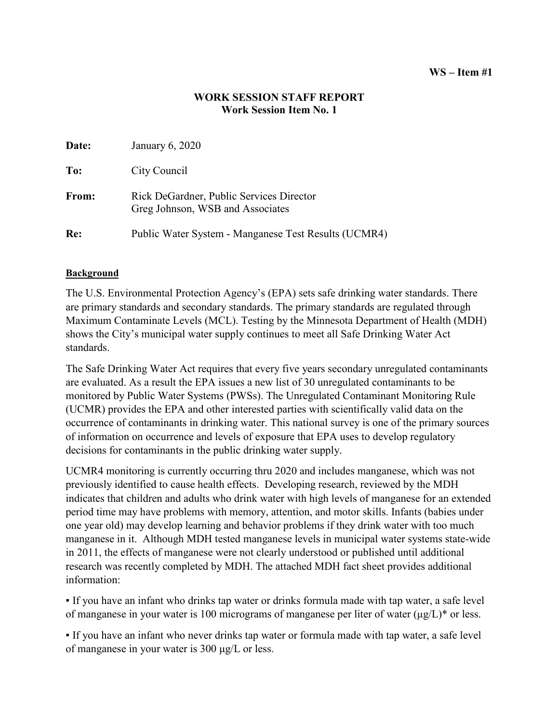### **WS – Item #1**

### **WORK SESSION STAFF REPORT Work Session Item No. 1**

| Date: | January 6, 2020                                                              |
|-------|------------------------------------------------------------------------------|
| To:   | City Council                                                                 |
| From: | Rick DeGardner, Public Services Director<br>Greg Johnson, WSB and Associates |
| Re:   | Public Water System - Manganese Test Results (UCMR4)                         |

### **Background**

The U.S. Environmental Protection Agency's (EPA) sets safe drinking water standards. There are primary standards and secondary standards. The primary standards are regulated through Maximum Contaminate Levels (MCL). Testing by the Minnesota Department of Health (MDH) shows the City's municipal water supply continues to meet all Safe Drinking Water Act standards.

The Safe Drinking Water Act requires that every five years secondary unregulated contaminants are evaluated. As a result the EPA issues a new list of 30 unregulated contaminants to be monitored by Public Water Systems (PWSs). The Unregulated Contaminant Monitoring Rule (UCMR) provides the EPA and other interested parties with scientifically valid data on the occurrence of contaminants in drinking water. This national survey is one of the primary sources of information on occurrence and levels of exposure that EPA uses to develop regulatory decisions for contaminants in the public drinking water supply.

UCMR4 monitoring is currently occurring thru 2020 and includes manganese, which was not previously identified to cause health effects. Developing research, reviewed by the MDH indicates that children and adults who drink water with high levels of manganese for an extended period time may have problems with memory, attention, and motor skills. Infants (babies under one year old) may develop learning and behavior problems if they drink water with too much manganese in it. Although MDH tested manganese levels in municipal water systems state-wide in 2011, the effects of manganese were not clearly understood or published until additional research was recently completed by MDH. The attached MDH fact sheet provides additional information:

▪ If you have an infant who drinks tap water or drinks formula made with tap water, a safe level of manganese in your water is 100 micrograms of manganese per liter of water (μg/L)\* or less.

▪ If you have an infant who never drinks tap water or formula made with tap water, a safe level of manganese in your water is 300 μg/L or less.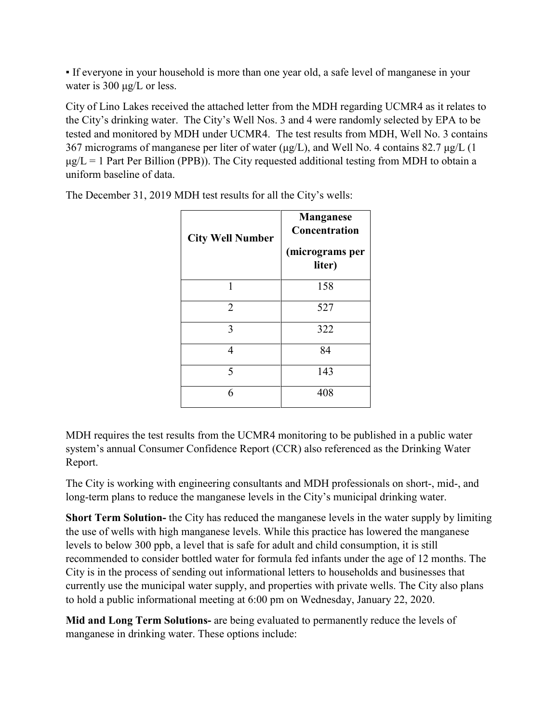▪ If everyone in your household is more than one year old, a safe level of manganese in your water is 300 μg/L or less.

City of Lino Lakes received the attached letter from the MDH regarding UCMR4 as it relates to the City's drinking water. The City's Well Nos. 3 and 4 were randomly selected by EPA to be tested and monitored by MDH under UCMR4. The test results from MDH, Well No. 3 contains 367 micrograms of manganese per liter of water ( $\mu$ g/L), and Well No. 4 contains 82.7  $\mu$ g/L (1)  $\mu$ g/L = 1 Part Per Billion (PPB)). The City requested additional testing from MDH to obtain a uniform baseline of data.

| <b>City Well Number</b> | <b>Manganese</b><br><b>Concentration</b><br>(micrograms per<br>liter) |
|-------------------------|-----------------------------------------------------------------------|
| 1                       | 158                                                                   |
| $\overline{2}$          | 527                                                                   |
| 3                       | 322                                                                   |
| 4                       | 84                                                                    |
| 5                       | 143                                                                   |
| 6                       | 408                                                                   |

The December 31, 2019 MDH test results for all the City's wells:

MDH requires the test results from the UCMR4 monitoring to be published in a public water system's annual Consumer Confidence Report (CCR) also referenced as the Drinking Water Report.

The City is working with engineering consultants and MDH professionals on short-, mid-, and long-term plans to reduce the manganese levels in the City's municipal drinking water.

**Short Term Solution-** the City has reduced the manganese levels in the water supply by limiting the use of wells with high manganese levels. While this practice has lowered the manganese levels to below 300 ppb, a level that is safe for adult and child consumption, it is still recommended to consider bottled water for formula fed infants under the age of 12 months. The City is in the process of sending out informational letters to households and businesses that currently use the municipal water supply, and properties with private wells. The City also plans to hold a public informational meeting at 6:00 pm on Wednesday, January 22, 2020.

**Mid and Long Term Solutions-** are being evaluated to permanently reduce the levels of manganese in drinking water. These options include: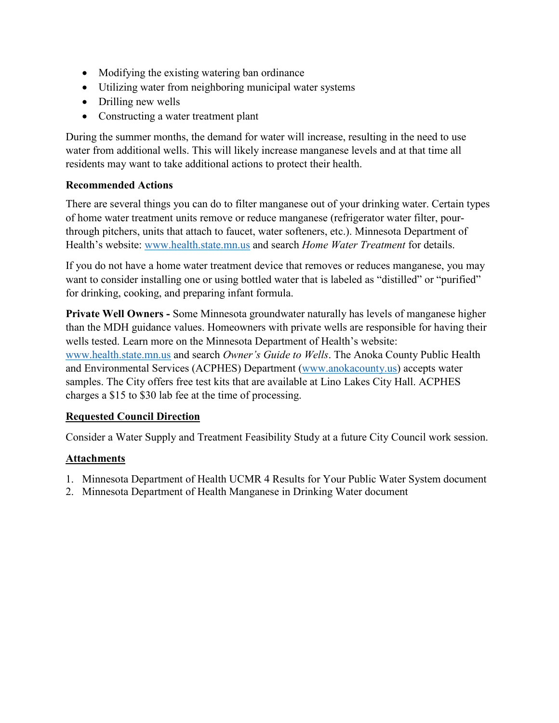- Modifying the existing watering ban ordinance
- Utilizing water from neighboring municipal water systems
- Drilling new wells
- Constructing a water treatment plant

During the summer months, the demand for water will increase, resulting in the need to use water from additional wells. This will likely increase manganese levels and at that time all residents may want to take additional actions to protect their health.

### **Recommended Actions**

There are several things you can do to filter manganese out of your drinking water. Certain types of home water treatment units remove or reduce manganese (refrigerator water filter, pourthrough pitchers, units that attach to faucet, water softeners, etc.). Minnesota Department of Health's website: [www.health.state.mn.us](http://www.health.state.mn.us/) and search *Home Water Treatment* for details.

If you do not have a home water treatment device that removes or reduces manganese, you may want to consider installing one or using bottled water that is labeled as "distilled" or "purified" for drinking, cooking, and preparing infant formula.

**Private Well Owners -** Some Minnesota groundwater naturally has levels of manganese higher than the MDH guidance values. Homeowners with private wells are responsible for having their wells tested. Learn more on the Minnesota Department of Health's website: [www.health.state.mn.us](http://www.health.state.mn.us/) and search *Owner's Guide to Wells*. The Anoka County Public Health and Environmental Services (ACPHES) Department [\(www.anokacounty.us\)](http://www.anokacounty.us/) accepts water samples. The City offers free test kits that are available at Lino Lakes City Hall. ACPHES charges a \$15 to \$30 lab fee at the time of processing.

### **Requested Council Direction**

Consider a Water Supply and Treatment Feasibility Study at a future City Council work session.

### **Attachments**

- 1. Minnesota Department of Health UCMR 4 Results for Your Public Water System document
- 2. Minnesota Department of Health Manganese in Drinking Water document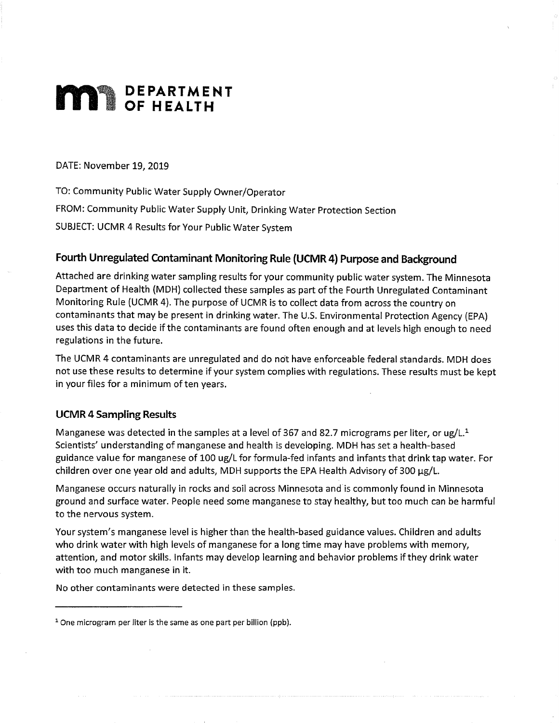# **MAR** DEPARTMENT

DATE: November 19, 2019

TO: Community Public Water Supply Owner/Operator FROM: Community Public Water Supply Unit, Drinking Water Protection Section SUBJECT: UCMR 4 Results for Your Public Water System

### Fourth Unregulated Contaminant Monitoring Rule (UCMR 4) Purpose and Background

Attached are drinking water sampling results for your community public water system. The Minnesota Department of Health (MDH) collected these samples as part of the Fourth Unregulated Contaminant Monitoring Rule (UCMR 4). The purpose of UCMR is to collect data from across the country on contaminants that may be present in drinking water. The U.S. Environmental Protection Agency (EPA) uses this data to decide if the contaminants are found often enough and at levels high enough to need regulations in the future.

The UCMR 4 contaminants are unregulated and do not have enforceable federal standards. MDH does not use these results to determine if your system complies with regulations. These results must be kept in your files for a minimum of ten years.

### **UCMR 4 Sampling Results**

Manganese was detected in the samples at a level of 367 and 82.7 micrograms per liter, or  $\mu g/L^1$ Scientists' understanding of manganese and health is developing. MDH has set a health-based guidance value for manganese of 100 ug/L for formula-fed infants and infants that drink tap water. For children over one year old and adults, MDH supports the EPA Health Advisory of 300 µg/L.

Manganese occurs naturally in rocks and soil across Minnesota and is commonly found in Minnesota ground and surface water. People need some manganese to stay healthy, but too much can be harmful to the nervous system.

Your system's manganese level is higher than the health-based guidance values. Children and adults who drink water with high levels of manganese for a long time may have problems with memory, attention, and motor skills. Infants may develop learning and behavior problems if they drink water with too much manganese in it.

No other contaminants were detected in these samples.

<sup>&</sup>lt;sup>1</sup> One microgram per liter is the same as one part per billion (ppb).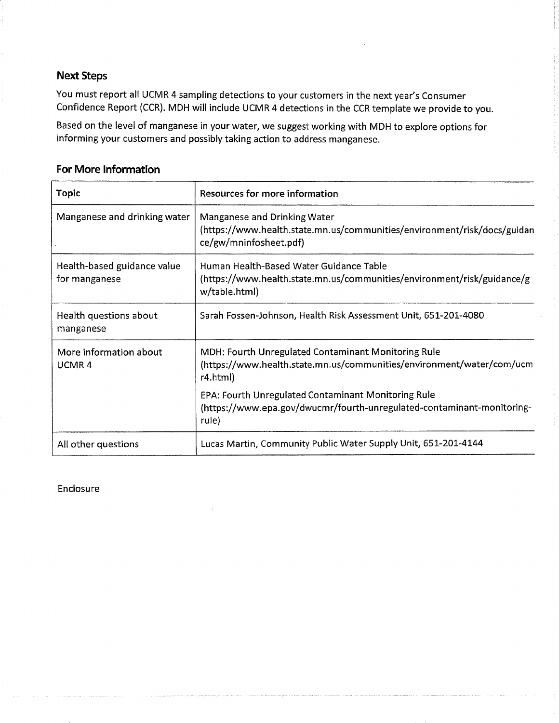### **Next Steps**

You must report all UCMR 4 sampling detections to your customers in the next year's Consumer Confidence Report (CCR). MDH will include UCMR 4 detections in the CCR template we provide to you.

Based on the level of manganese in your water, we suggest working with MDH to explore options for informing your customers and possibly taking action to address manganese.

### **For More Information**

| Topic                                        | <b>Resources for more information</b>                                                                                                    |
|----------------------------------------------|------------------------------------------------------------------------------------------------------------------------------------------|
| Manganese and drinking water                 | Manganese and Drinking Water<br>(https://www.health.state.mn.us/communities/environment/risk/docs/guidan<br>ce/gw/mninfosheet.pdf)       |
| Health-based guidance value<br>for manganese | Human Health-Based Water Guidance Table<br>(https://www.health.state.mn.us/communities/environment/risk/guidance/g<br>w/table.html)      |
| Health questions about<br>manganese          | Sarah Fossen-Johnson, Health Risk Assessment Unit, 651-201-4080                                                                          |
| More information about<br>UCMR4              | MDH: Fourth Unregulated Contaminant Monitoring Rule<br>(https://www.health.state.mn.us/communities/environment/water/com/ucm<br>r4.html) |
|                                              | EPA: Fourth Unregulated Contaminant Monitoring Rule<br>(https://www.epa.gov/dwucmr/fourth-unregulated-contaminant-monitoring-<br>rule)   |
| All other questions                          | Lucas Martin, Community Public Water Supply Unit, 651-201-4144                                                                           |

Enclosure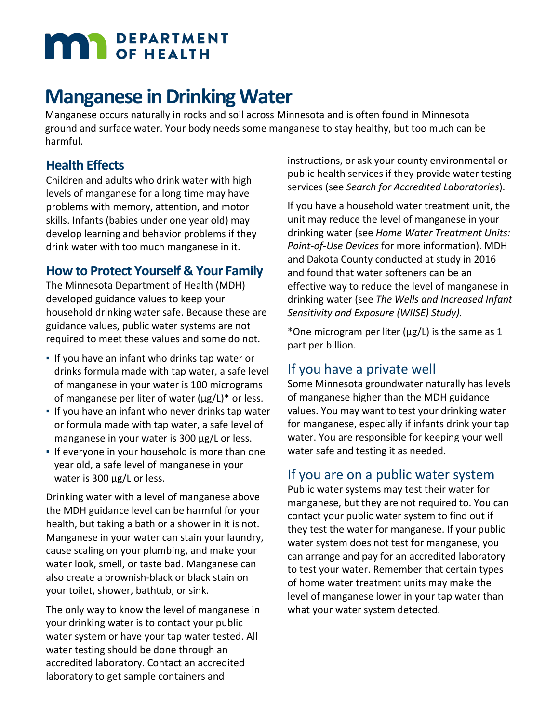# **MAN** DEPARTMENT

# **Manganese in Drinking Water**

Manganese occurs naturally in rocks and soil across Minnesota and is often found in Minnesota ground and surface water. Your body needs some manganese to stay healthy, but too much can be harmful.

# **Health Effects**

Children and adults who drink water with high levels of manganese for a long time may have problems with memory, attention, and motor skills. Infants (babies under one year old) may develop learning and behavior problems if they drink water with too much manganese in it.

# **How to Protect Yourself & Your Family**

The Minnesota Department of Health (MDH) developed guidance values to keep your household drinking water safe. Because these are guidance values, public water systems are not required to meet these values and some do not.

- If you have an infant who drinks tap water or drinks formula made with tap water, a safe level of manganese in your water is 100 micrograms of manganese per liter of water  $(\mu g/L)^*$  or less.
- **.** If you have an infant who never drinks tap water or formula made with tap water, a safe level of manganese in your water is 300 µg/L or less.
- **.** If everyone in your household is more than one year old, a safe level of manganese in your water is 300 µg/L or less.

Drinking water with a level of manganese above the MDH guidance level can be harmful for your health, but taking a bath or a shower in it is not. Manganese in your water can stain your laundry, cause scaling on your plumbing, and make your water look, smell, or taste bad. Manganese can also create a brownish-black or black stain on your toilet, shower, bathtub, or sink.

The only way to know the level of manganese in your drinking water is to contact your public water system or have your tap water tested. All water testing should be done through an accredited laboratory. Contact an accredited laboratory to get sample containers and

instructions, or ask your county environmental or public health services if they provide water testing services (see *Search for Accredited Laboratories*).

If you have a household water treatment unit, the unit may reduce the level of manganese in your drinking water (see *Home Water Treatment Units: Point-of-Use Devices* for more information). MDH and Dakota County conducted at study in 2016 and found that water softeners can be an effective way to reduce the level of manganese in drinking water (see *The Wells and Increased Infant Sensitivity and Exposure (WIISE) Study).* 

\*One microgram per liter ( $\mu$ g/L) is the same as 1 part per billion.

# If you have a private well

Some Minnesota groundwater naturally has levels of manganese higher than the MDH guidance values. You may want to test your drinking water for manganese, especially if infants drink your tap water. You are responsible for keeping your well water safe and testing it as needed.

# If you are on a public water system

Public water systems may test their water for manganese, but they are not required to. You can contact your public water system to find out if they test the water for manganese. If your public water system does not test for manganese, you can arrange and pay for an accredited laboratory to test your water. Remember that certain types of home water treatment units may make the level of manganese lower in your tap water than what your water system detected.